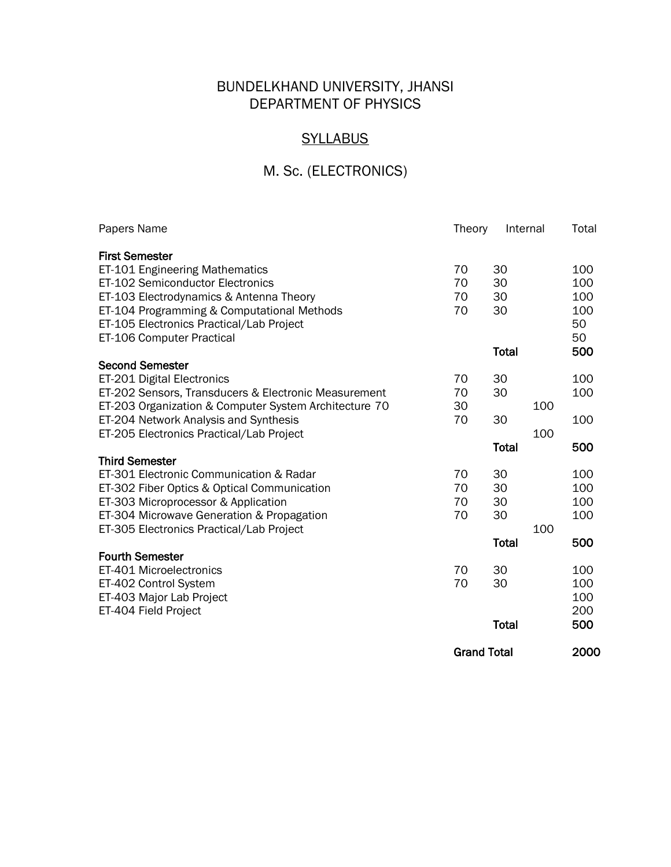# BUNDELKHAND UNIVERSITY, JHANSI DEPARTMENT OF PHYSICS

## **SYLLABUS**

# M. Sc. (ELECTRONICS)

| Papers Name                                           | Theory             | Internal     |     | Total |
|-------------------------------------------------------|--------------------|--------------|-----|-------|
| <b>First Semester</b>                                 |                    |              |     |       |
| ET-101 Engineering Mathematics                        | 70                 | 30           |     | 100   |
| ET-102 Semiconductor Electronics                      | 70                 | 30           |     | 100   |
| ET-103 Electrodynamics & Antenna Theory               | 70                 | 30           |     | 100   |
| ET-104 Programming & Computational Methods            | 70                 | 30           |     | 100   |
| ET-105 Electronics Practical/Lab Project              |                    |              |     | 50    |
| ET-106 Computer Practical                             |                    |              |     | 50    |
|                                                       |                    | <b>Total</b> |     | 500   |
| <b>Second Semester</b>                                |                    |              |     |       |
| ET-201 Digital Electronics                            | 70                 | 30           |     | 100   |
| ET-202 Sensors, Transducers & Electronic Measurement  | 70                 | 30           |     | 100   |
| ET-203 Organization & Computer System Architecture 70 | 30                 |              | 100 |       |
| ET-204 Network Analysis and Synthesis                 | 70                 | 30           | 100 | 100   |
| ET-205 Electronics Practical/Lab Project              |                    | <b>Total</b> |     | 500   |
| <b>Third Semester</b>                                 |                    |              |     |       |
| ET-301 Electronic Communication & Radar               | 70                 | 30           |     | 100   |
| ET-302 Fiber Optics & Optical Communication           | 70                 | 30           |     | 100   |
| ET-303 Microprocessor & Application                   | 70                 | 30           |     | 100   |
| ET-304 Microwave Generation & Propagation             | 70                 | 30           |     | 100   |
| ET-305 Electronics Practical/Lab Project              |                    |              | 100 |       |
|                                                       |                    | <b>Total</b> |     | 500   |
| <b>Fourth Semester</b>                                |                    |              |     |       |
| ET-401 Microelectronics                               | 70                 | 30           |     | 100   |
| ET-402 Control System                                 | 70                 | 30           |     | 100   |
| ET-403 Major Lab Project                              |                    |              |     | 100   |
| ET-404 Field Project                                  |                    |              |     | 200   |
|                                                       |                    | <b>Total</b> |     | 500   |
|                                                       | <b>Grand Total</b> |              |     | 2000  |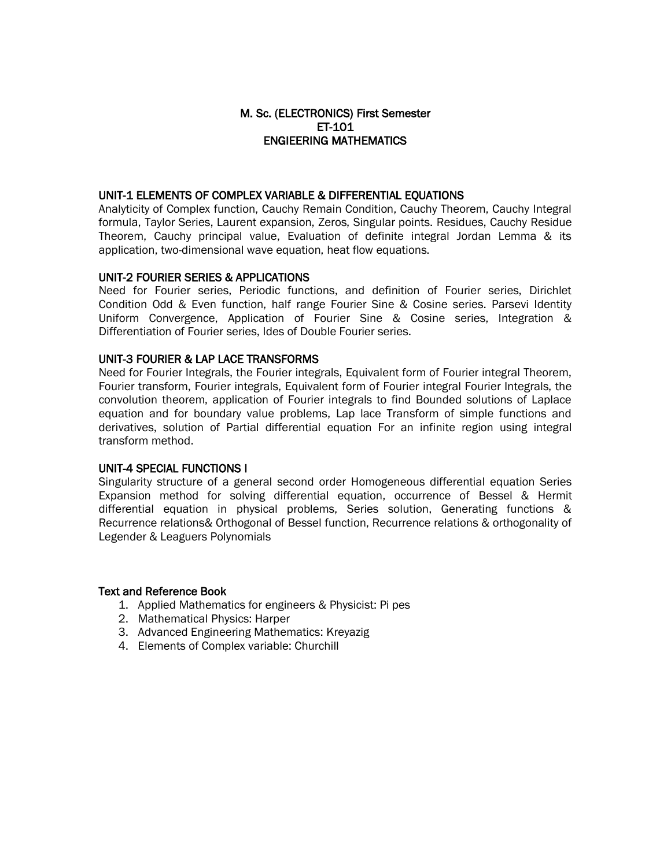## M. Sc. (ELECTRONICS) First Semester ET-101 ENGIEERING MATHEMATICS

#### UNIT-1 ELEMENTS OF COMPLEX VARIABLE & DIFFERENTIAL EQUATIONS

Analyticity of Complex function, Cauchy Remain Condition, Cauchy Theorem, Cauchy Integral formula, Taylor Series, Laurent expansion, Zeros, Singular points. Residues, Cauchy Residue Theorem, Cauchy principal value, Evaluation of definite integral Jordan Lemma & its application, two-dimensional wave equation, heat flow equations.

#### UNIT-2 FOURIER SERIES & APPLICATIONS

Need for Fourier series, Periodic functions, and definition of Fourier series, Dirichlet Condition Odd & Even function, half range Fourier Sine & Cosine series. Parsevi Identity Uniform Convergence, Application of Fourier Sine & Cosine series, Integration & Differentiation of Fourier series, Ides of Double Fourier series.

#### UNIT-3 FOURIER & LAP LACE TRANSFORMS

Need for Fourier Integrals, the Fourier integrals, Equivalent form of Fourier integral Theorem, Fourier transform, Fourier integrals, Equivalent form of Fourier integral Fourier Integrals, the convolution theorem, application of Fourier integrals to find Bounded solutions of Laplace equation and for boundary value problems, Lap lace Transform of simple functions and derivatives, solution of Partial differential equation For an infinite region using integral transform method.

#### UNIT-4 SPECIAL FUNCTIONS I

Singularity structure of a general second order Homogeneous differential equation Series Expansion method for solving differential equation, occurrence of Bessel & Hermit differential equation in physical problems, Series solution, Generating functions & Recurrence relations& Orthogonal of Bessel function, Recurrence relations & orthogonality of Legender & Leaguers Polynomials

- 1. Applied Mathematics for engineers & Physicist: Pi pes
- 2. Mathematical Physics: Harper
- 3. Advanced Engineering Mathematics: Kreyazig
- 4. Elements of Complex variable: Churchill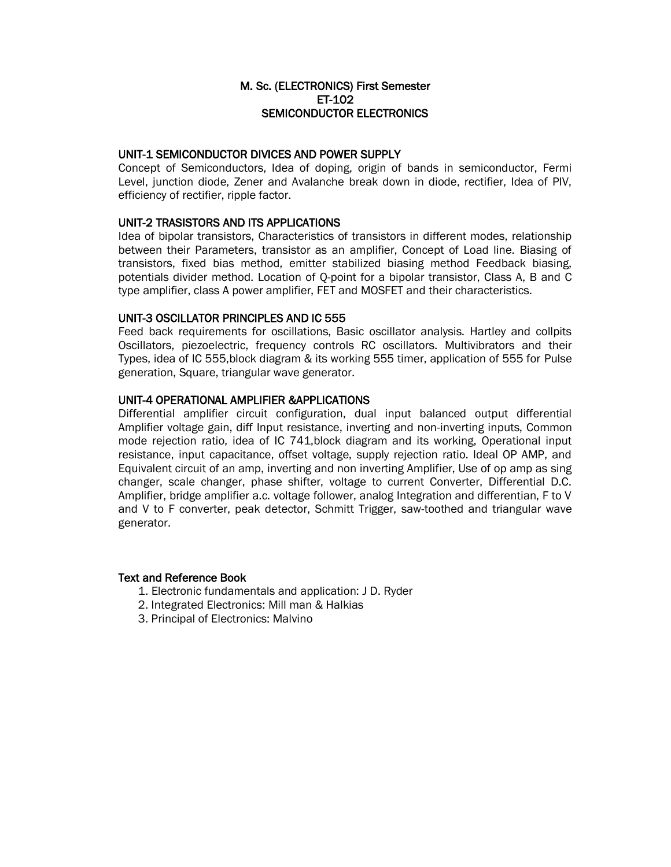## M. Sc. (ELECTRONICS) First Semester ET-102 SEMICONDUCTOR ELECTRONICS

#### UNIT-1 SEMICONDUCTOR DIVICES AND POWER SUPPLY

Concept of Semiconductors, Idea of doping, origin of bands in semiconductor, Fermi Level, junction diode, Zener and Avalanche break down in diode, rectifier, Idea of PIV, efficiency of rectifier, ripple factor.

## UNIT-2 TRASISTORS AND ITS APPLICATIONS

Idea of bipolar transistors, Characteristics of transistors in different modes, relationship between their Parameters, transistor as an amplifier, Concept of Load line. Biasing of transistors, fixed bias method, emitter stabilized biasing method Feedback biasing, potentials divider method. Location of Q-point for a bipolar transistor, Class A, B and C type amplifier, class A power amplifier, FET and MOSFET and their characteristics.

#### UNIT-3 OSCILLATOR PRINCIPLES AND IC 555

Feed back requirements for oscillations, Basic oscillator analysis. Hartley and collpits Oscillators, piezoelectric, frequency controls RC oscillators. Multivibrators and their Types, idea of IC 555,block diagram & its working 555 timer, application of 555 for Pulse generation, Square, triangular wave generator.

#### UNIT-4 OPERATIONAL AMPLIFIER &APPLICATIONS

Differential amplifier circuit configuration, dual input balanced output differential Amplifier voltage gain, diff Input resistance, inverting and non-inverting inputs, Common mode rejection ratio, idea of IC 741,block diagram and its working, Operational input resistance, input capacitance, offset voltage, supply rejection ratio. Ideal OP AMP, and Equivalent circuit of an amp, inverting and non inverting Amplifier, Use of op amp as sing changer, scale changer, phase shifter, voltage to current Converter, Differential D.C. Amplifier, bridge amplifier a.c. voltage follower, analog Integration and differentian, F to V and V to F converter, peak detector, Schmitt Trigger, saw-toothed and triangular wave generator.

- 1. Electronic fundamentals and application: J D. Ryder
- 2. Integrated Electronics: Mill man & Halkias
- 3. Principal of Electronics: Malvino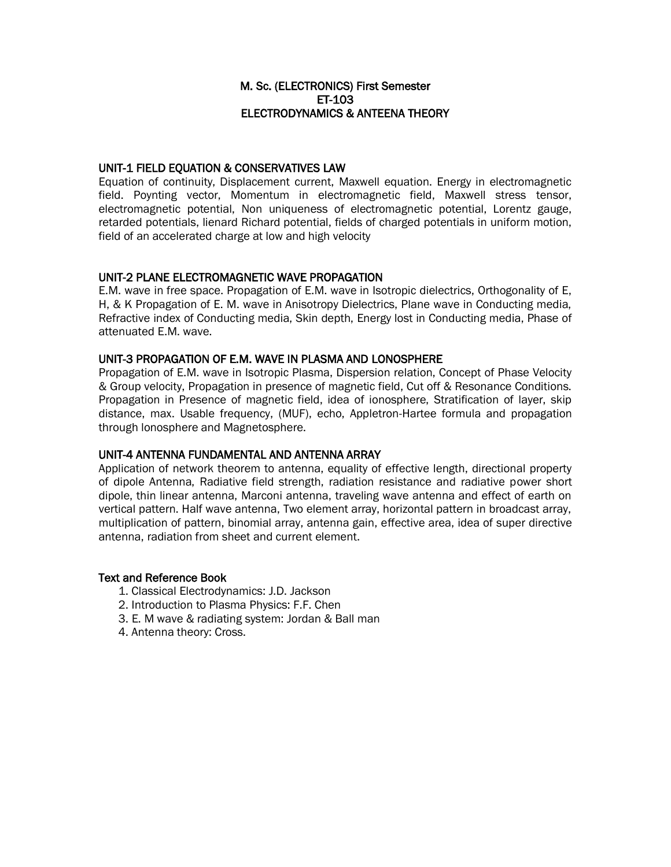## M. Sc. (ELECTRONICS) First Semester ET-103 ELECTRODYNAMICS & ANTEENA THEORY

#### UNIT-1 FIELD EQUATION & CONSERVATIVES LAW

Equation of continuity, Displacement current, Maxwell equation. Energy in electromagnetic field. Poynting vector, Momentum in electromagnetic field, Maxwell stress tensor, electromagnetic potential, Non uniqueness of electromagnetic potential, Lorentz gauge, retarded potentials, lienard Richard potential, fields of charged potentials in uniform motion, field of an accelerated charge at low and high velocity

## UNIT-2 PLANE ELECTROMAGNETIC WAVE PROPAGATION

E.M. wave in free space. Propagation of E.M. wave in Isotropic dielectrics, Orthogonality of E, H, & K Propagation of E. M. wave in Anisotropy Dielectrics, Plane wave in Conducting media, Refractive index of Conducting media, Skin depth, Energy lost in Conducting media, Phase of attenuated E.M. wave.

#### UNIT-3 PROPAGATION OF E.M. WAVE IN PLASMA AND LONOSPHERE

Propagation of E.M. wave in Isotropic Plasma, Dispersion relation, Concept of Phase Velocity & Group velocity, Propagation in presence of magnetic field, Cut off & Resonance Conditions. Propagation in Presence of magnetic field, idea of ionosphere, Stratification of layer, skip distance, max. Usable frequency, (MUF), echo, Appletron-Hartee formula and propagation through lonosphere and Magnetosphere.

## UNIT-4 ANTENNA FUNDAMENTAL AND ANTENNA ARRAY

Application of network theorem to antenna, equality of effective length, directional property of dipole Antenna, Radiative field strength, radiation resistance and radiative power short dipole, thin linear antenna, Marconi antenna, traveling wave antenna and effect of earth on vertical pattern. Half wave antenna, Two element array, horizontal pattern in broadcast array, multiplication of pattern, binomial array, antenna gain, effective area, idea of super directive antenna, radiation from sheet and current element.

- 1. Classical Electrodynamics: J.D. Jackson
- 2. Introduction to Plasma Physics: F.F. Chen
- 3. E. M wave & radiating system: Jordan & Ball man
- 4. Antenna theory: Cross.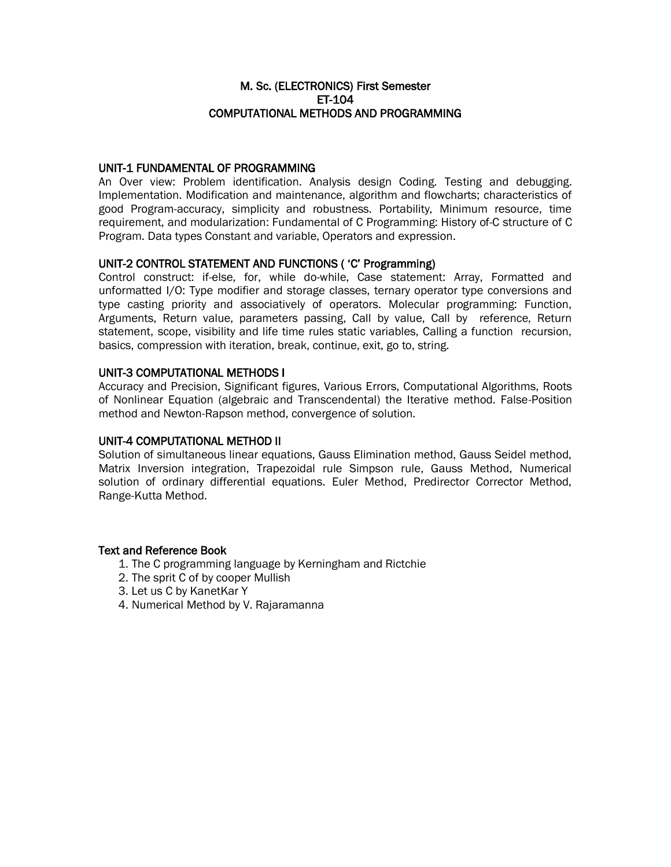## M. Sc. (ELECTRONICS) First Semester ET-104 COMPUTATIONAL METHODS AND PROGRAMMING

#### UNIT-1 FUNDAMENTAL OF PROGRAMMING

An Over view: Problem identification. Analysis design Coding. Testing and debugging. Implementation. Modification and maintenance, algorithm and flowcharts; characteristics of good Program-accuracy, simplicity and robustness. Portability, Minimum resource, time requirement, and modularization: Fundamental of C Programming: History of-C structure of C Program. Data types Constant and variable, Operators and expression.

## UNIT-2 CONTROL STATEMENT AND FUNCTIONS ( "C" Programming)

Control construct: if-else, for, while do-while, Case statement: Array, Formatted and unformatted I/O: Type modifier and storage classes, ternary operator type conversions and type casting priority and associatively of operators. Molecular programming: Function, Arguments, Return value, parameters passing, Call by value, Call by reference, Return statement, scope, visibility and life time rules static variables, Calling a function recursion, basics, compression with iteration, break, continue, exit, go to, string.

#### UNIT-3 COMPUTATIONAL METHODS I

Accuracy and Precision, Significant figures, Various Errors, Computational Algorithms, Roots of Nonlinear Equation (algebraic and Transcendental) the Iterative method. False-Position method and Newton-Rapson method, convergence of solution.

## UNIT-4 COMPUTATIONAL METHOD II

Solution of simultaneous linear equations, Gauss Elimination method, Gauss Seidel method, Matrix Inversion integration, Trapezoidal rule Simpson rule, Gauss Method, Numerical solution of ordinary differential equations. Euler Method, Predirector Corrector Method, Range-Kutta Method.

- 1. The C programming language by Kerningham and Rictchie
- 2. The sprit C of by cooper Mullish
- 3. Let us C by KanetKar Y
- 4. Numerical Method by V. Rajaramanna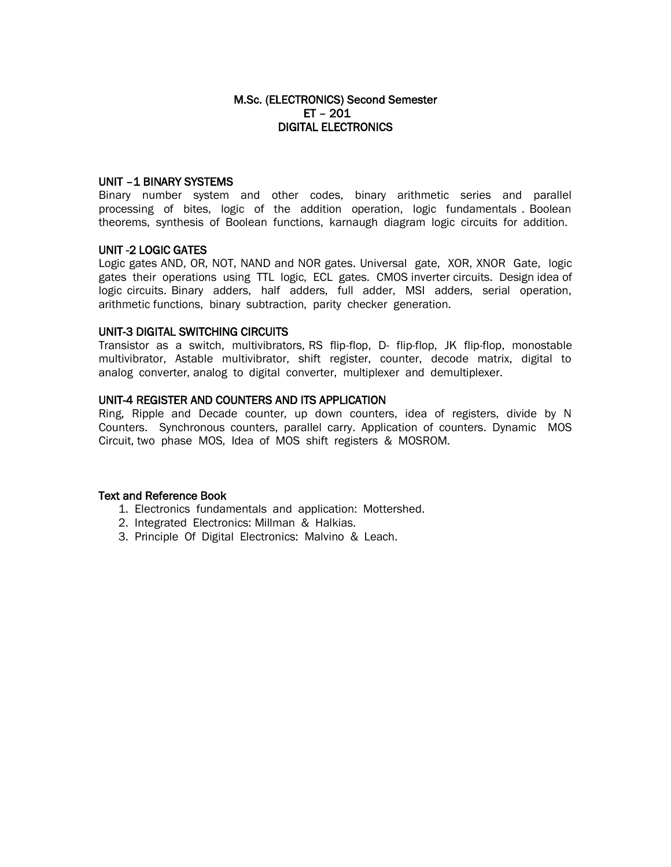## M.Sc. (ELECTRONICS) Second Semester ET – 201 DIGITAL ELECTRONICS

#### UNIT –1 BINARY SYSTEMS

Binary number system and other codes, binary arithmetic series and parallel processing of bites, logic of the addition operation, logic fundamentals . Boolean theorems, synthesis of Boolean functions, karnaugh diagram logic circuits for addition.

#### UNIT -2 LOGIC GATES

Logic gates AND, OR, NOT, NAND and NOR gates. Universal gate, XOR, XNOR Gate, logic gates their operations using TTL logic, ECL gates. CMOS inverter circuits. Design idea of logic circuits. Binary adders, half adders, full adder, MSI adders, serial operation, arithmetic functions, binary subtraction, parity checker generation.

#### UNIT-3 DIGITAL SWITCHING CIRCUITS

Transistor as a switch, multivibrators, RS flip-flop, D- flip-flop, JK flip-flop, monostable multivibrator, Astable multivibrator, shift register, counter, decode matrix, digital to analog converter, analog to digital converter, multiplexer and demultiplexer.

#### UNIT-4 REGISTER AND COUNTERS AND ITS APPLICATION

Ring, Ripple and Decade counter, up down counters, idea of registers, divide by N Counters. Synchronous counters, parallel carry. Application of counters. Dynamic MOS Circuit, two phase MOS, Idea of MOS shift registers & MOSROM.

- 1. Electronics fundamentals and application: Mottershed.
- 2. Integrated Electronics: Millman & Halkias.
- 3. Principle Of Digital Electronics: Malvino & Leach.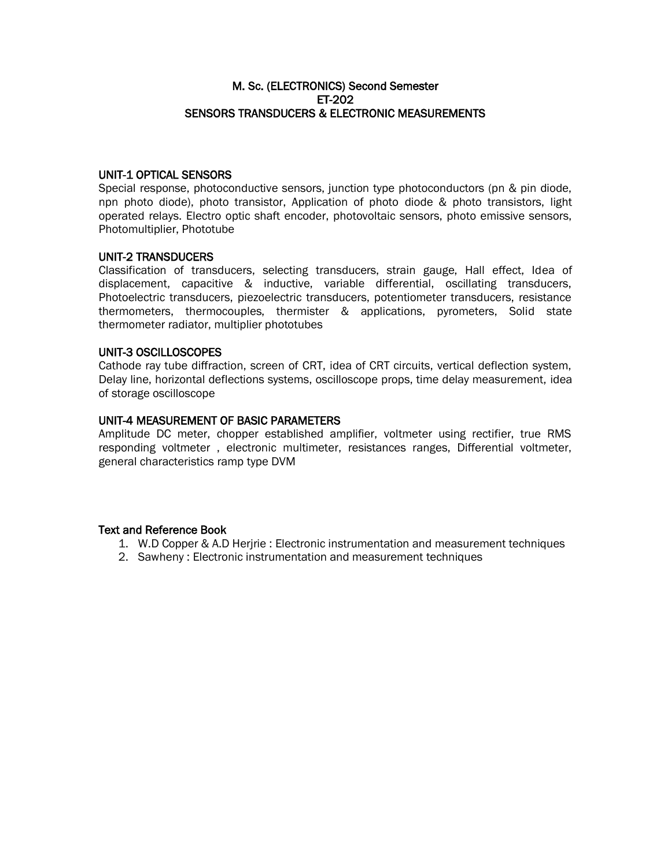## M. Sc. (ELECTRONICS) Second Semester ET-202 SENSORS TRANSDUCERS & ELECTRONIC MEASUREMENTS

## UNIT-1 OPTICAL SENSORS

Special response, photoconductive sensors, junction type photoconductors (pn & pin diode, npn photo diode), photo transistor, Application of photo diode & photo transistors, light operated relays. Electro optic shaft encoder, photovoltaic sensors, photo emissive sensors, Photomultiplier, Phototube

#### UNIT-2 TRANSDUCERS

Classification of transducers, selecting transducers, strain gauge, Hall effect, Idea of displacement, capacitive & inductive, variable differential, oscillating transducers, Photoelectric transducers, piezoelectric transducers, potentiometer transducers, resistance thermometers, thermocouples, thermister & applications, pyrometers, Solid state thermometer radiator, multiplier phototubes

#### UNIT-3 OSCILLOSCOPES

Cathode ray tube diffraction, screen of CRT, idea of CRT circuits, vertical deflection system, Delay line, horizontal deflections systems, oscilloscope props, time delay measurement, idea of storage oscilloscope

#### UNIT-4 MEASUREMENT OF BASIC PARAMETERS

Amplitude DC meter, chopper established amplifier, voltmeter using rectifier, true RMS responding voltmeter , electronic multimeter, resistances ranges, Differential voltmeter, general characteristics ramp type DVM

- 1. W.D Copper & A.D Herjrie : Electronic instrumentation and measurement techniques
- 2. Sawheny : Electronic instrumentation and measurement techniques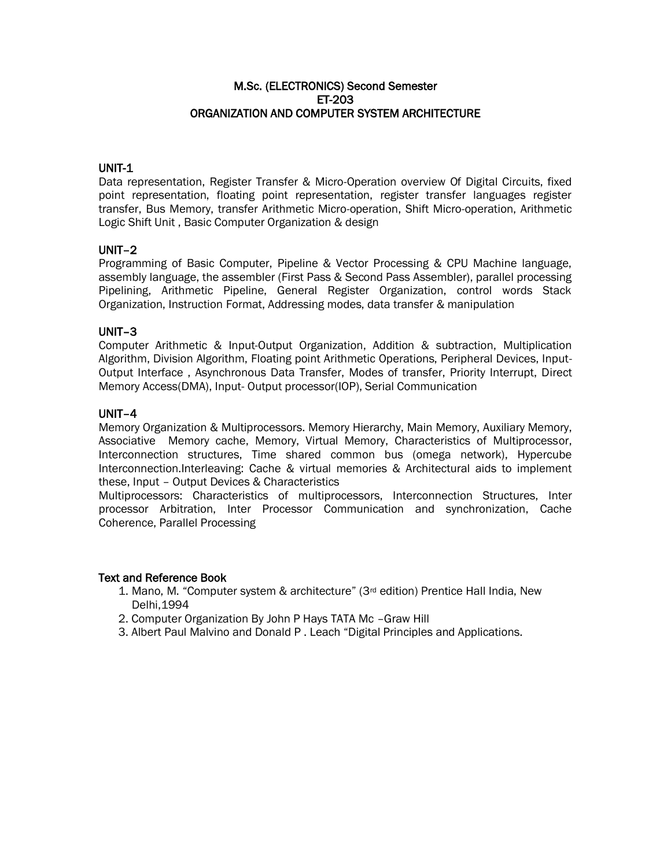## M.Sc. (ELECTRONICS) Second Semester ET-203 ORGANIZATION AND COMPUTER SYSTEM ARCHITECTURE

#### UNIT-1

Data representation, Register Transfer & Micro-Operation overview Of Digital Circuits, fixed point representation, floating point representation, register transfer languages register transfer, Bus Memory, transfer Arithmetic Micro-operation, Shift Micro-operation, Arithmetic Logic Shift Unit , Basic Computer Organization & design

## UNIT–2

Programming of Basic Computer, Pipeline & Vector Processing & CPU Machine language, assembly language, the assembler (First Pass & Second Pass Assembler), parallel processing Pipelining, Arithmetic Pipeline, General Register Organization, control words Stack Organization, Instruction Format, Addressing modes, data transfer & manipulation

## UNIT–3

Computer Arithmetic & Input-Output Organization, Addition & subtraction, Multiplication Algorithm, Division Algorithm, Floating point Arithmetic Operations, Peripheral Devices, Input-Output Interface , Asynchronous Data Transfer, Modes of transfer, Priority Interrupt, Direct Memory Access(DMA), Input- Output processor(IOP), Serial Communication

## UNIT–4

Memory Organization & Multiprocessors. Memory Hierarchy, Main Memory, Auxiliary Memory, Associative Memory cache, Memory, Virtual Memory, Characteristics of Multiprocessor, Interconnection structures, Time shared common bus (omega network), Hypercube Interconnection.Interleaving: Cache & virtual memories & Architectural aids to implement these, Input – Output Devices & Characteristics

Multiprocessors: Characteristics of multiprocessors, Interconnection Structures, Inter processor Arbitration, Inter Processor Communication and synchronization, Cache Coherence, Parallel Processing

- 1. Mano, M. "Computer system & architecture" ( $3<sup>rd</sup>$  edition) Prentice Hall India, New Delhi,1994
- 2. Computer Organization By John P Hays TATA Mc –Graw Hill
- 3. Albert Paul Malvino and Donald P . Leach "Digital Principles and Applications.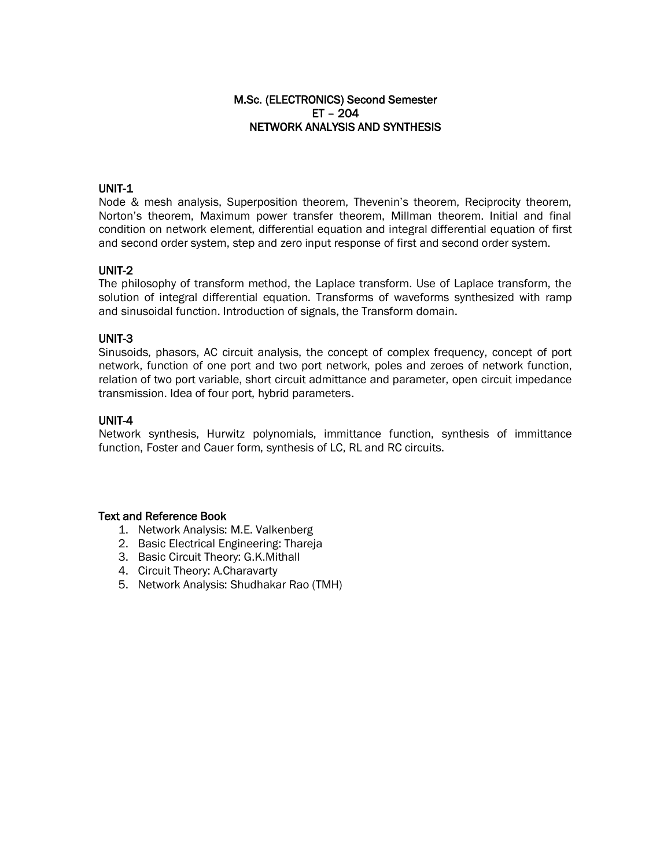## M.Sc. (ELECTRONICS) Second Semester ET – 204 NETWORK ANALYSIS AND SYNTHESIS

## UNIT-1

Node & mesh analysis, Superposition theorem, Thevenin"s theorem, Reciprocity theorem, Norton"s theorem, Maximum power transfer theorem, Millman theorem. Initial and final condition on network element, differential equation and integral differential equation of first and second order system, step and zero input response of first and second order system.

## UNIT-2

The philosophy of transform method, the Laplace transform. Use of Laplace transform, the solution of integral differential equation. Transforms of waveforms synthesized with ramp and sinusoidal function. Introduction of signals, the Transform domain.

## UNIT-3

Sinusoids, phasors, AC circuit analysis, the concept of complex frequency, concept of port network, function of one port and two port network, poles and zeroes of network function, relation of two port variable, short circuit admittance and parameter, open circuit impedance transmission. Idea of four port, hybrid parameters.

## UNIT-4

Network synthesis, Hurwitz polynomials, immittance function, synthesis of immittance function, Foster and Cauer form, synthesis of LC, RL and RC circuits.

- 1. Network Analysis: M.E. Valkenberg
- 2. Basic Electrical Engineering: Thareja
- 3. Basic Circuit Theory: G.K.Mithall
- 4. Circuit Theory: A.Charavarty
- 5. Network Analysis: Shudhakar Rao (TMH)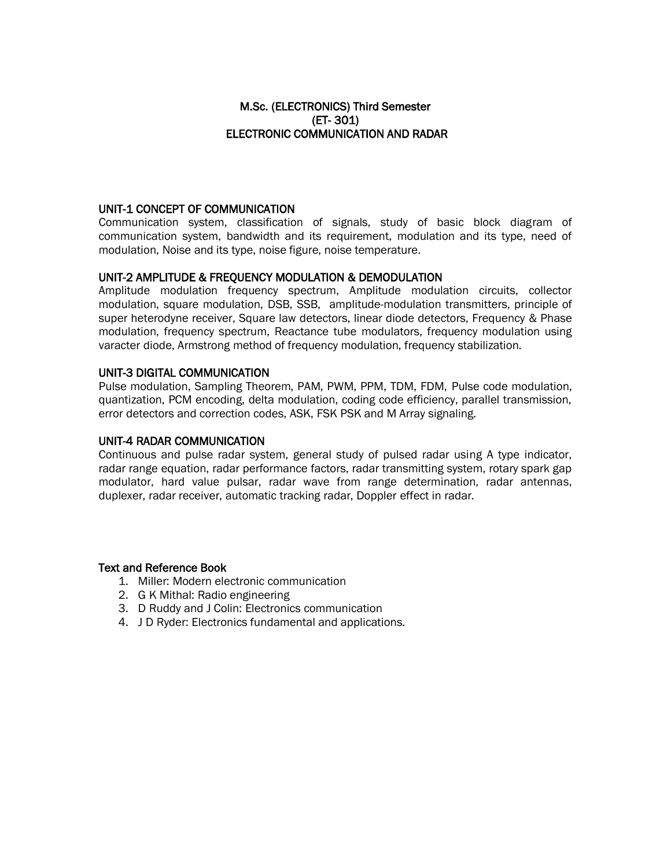## M.Sc. (ELECTRONICS) Third Semester (ET- 301) ELECTRONIC COMMUNICATION AND RADAR

## UNIT-1 CONCEPT OF COMMUNICATION

Communication system, classification of signals, study of basic block diagram of communication system, bandwidth and its requirement, modulation and its type, need of modulation, Noise and its type, noise figure, noise temperature.

## UNIT-2 AMPLITUDE & FREQUENCY MODULATION & DEMODULATION

Amplitude modulation frequency spectrum, Amplitude modulation circuits, collector modulation, square modulation, DSB, SSB, amplitude-modulation transmitters, principle of super heterodyne receiver, Square law detectors, linear diode detectors, Frequency & Phase modulation, frequency spectrum, Reactance tube modulators, frequency modulation using varacter diode, Armstrong method of frequency modulation, frequency stabilization.

## UNIT-3 DIGITAL COMMUNICATION

Pulse modulation, Sampling Theorem, PAM, PWM, PPM, TDM, FDM, Pulse code modulation, quantization, PCM encoding, delta modulation, coding code efficiency, parallel transmission, error detectors and correction codes, ASK, FSK PSK and M Array signaling.

## UNIT-4 RADAR COMMUNICATION

Continuous and pulse radar system, general study of pulsed radar using A type indicator, radar range equation, radar performance factors, radar transmitting system, rotary spark gap modulator, hard value pulsar, radar wave from range determination, radar antennas, duplexer, radar receiver, automatic tracking radar, Doppler effect in radar.

- 1. Miller: Modern electronic communication
- 2. G K Mithal: Radio engineering
- 3. D Ruddy and J Colin: Electronics communication
- 4. J D Ryder: Electronics fundamental and applications.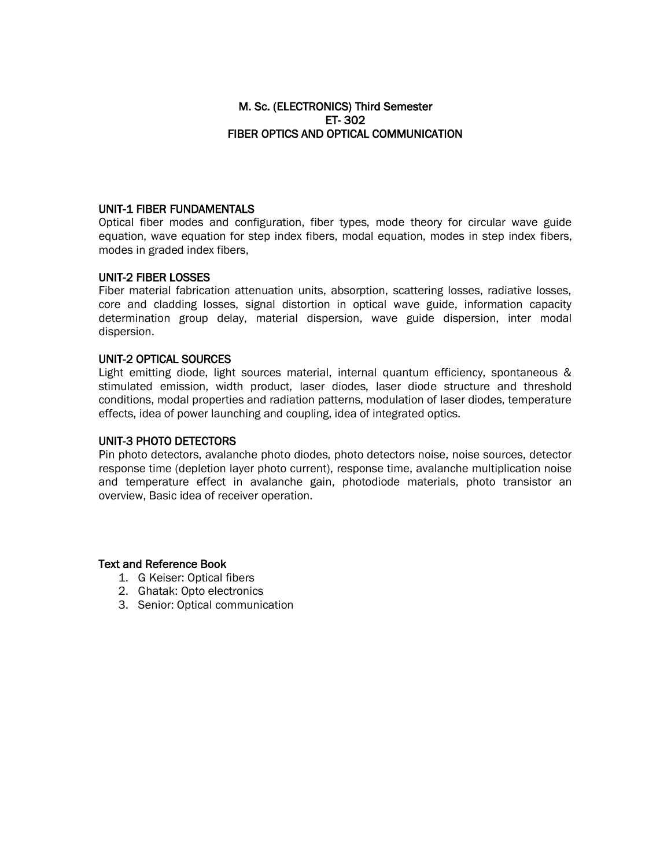## M. Sc. (ELECTRONICS) Third Semester ET- 302 FIBER OPTICS AND OPTICAL COMMUNICATION

## UNIT-1 FIBER FUNDAMENTALS

Optical fiber modes and configuration, fiber types, mode theory for circular wave guide equation, wave equation for step index fibers, modal equation, modes in step index fibers, modes in graded index fibers,

## UNIT-2 FIBER LOSSES

Fiber material fabrication attenuation units, absorption, scattering losses, radiative losses, core and cladding losses, signal distortion in optical wave guide, information capacity determination group delay, material dispersion, wave guide dispersion, inter modal dispersion.

## UNIT-2 OPTICAL SOURCES

Light emitting diode, light sources material, internal quantum efficiency, spontaneous & stimulated emission, width product, laser diodes, laser diode structure and threshold conditions, modal properties and radiation patterns, modulation of laser diodes, temperature effects, idea of power launching and coupling, idea of integrated optics.

## UNIT-3 PHOTO DETECTORS

Pin photo detectors, avalanche photo diodes, photo detectors noise, noise sources, detector response time (depletion layer photo current), response time, avalanche multiplication noise and temperature effect in avalanche gain, photodiode materials, photo transistor an overview, Basic idea of receiver operation.

- 1. G Keiser: Optical fibers
- 2. Ghatak: Opto electronics
- 3. Senior: Optical communication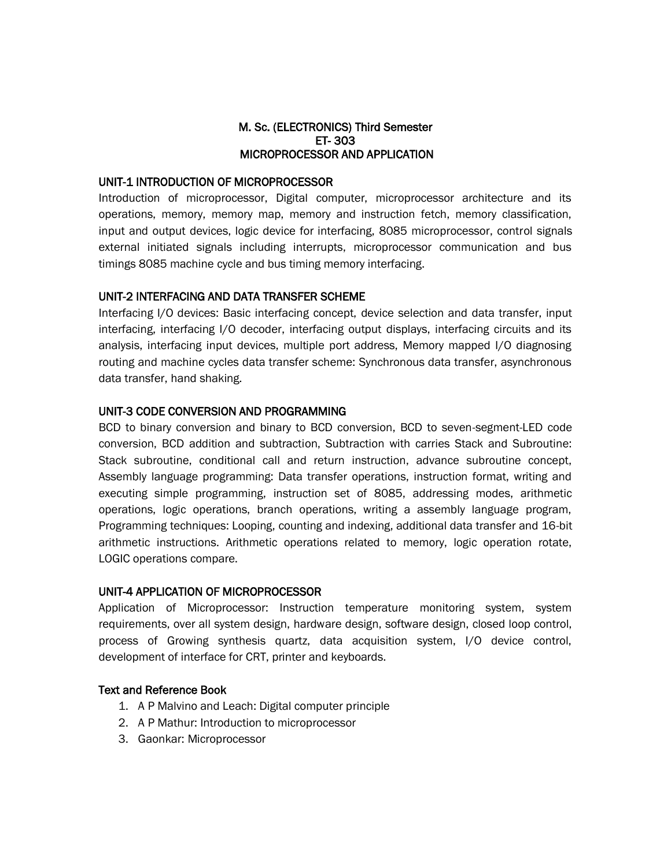## M. Sc. (ELECTRONICS) Third Semester ET- 303 MICROPROCESSOR AND APPLICATION

#### UNIT-1 INTRODUCTION OF MICROPROCESSOR

Introduction of microprocessor, Digital computer, microprocessor architecture and its operations, memory, memory map, memory and instruction fetch, memory classification, input and output devices, logic device for interfacing, 8085 microprocessor, control signals external initiated signals including interrupts, microprocessor communication and bus timings 8085 machine cycle and bus timing memory interfacing.

## UNIT-2 INTERFACING AND DATA TRANSFER SCHEME

Interfacing I/O devices: Basic interfacing concept, device selection and data transfer, input interfacing, interfacing I/O decoder, interfacing output displays, interfacing circuits and its analysis, interfacing input devices, multiple port address, Memory mapped I/O diagnosing routing and machine cycles data transfer scheme: Synchronous data transfer, asynchronous data transfer, hand shaking.

## UNIT-3 CODE CONVERSION AND PROGRAMMING

BCD to binary conversion and binary to BCD conversion, BCD to seven-segment-LED code conversion, BCD addition and subtraction, Subtraction with carries Stack and Subroutine: Stack subroutine, conditional call and return instruction, advance subroutine concept, Assembly language programming: Data transfer operations, instruction format, writing and executing simple programming, instruction set of 8085, addressing modes, arithmetic operations, logic operations, branch operations, writing a assembly language program, Programming techniques: Looping, counting and indexing, additional data transfer and 16-bit arithmetic instructions. Arithmetic operations related to memory, logic operation rotate, LOGIC operations compare.

## UNIT-4 APPLICATION OF MICROPROCESSOR

Application of Microprocessor: Instruction temperature monitoring system, system requirements, over all system design, hardware design, software design, closed loop control, process of Growing synthesis quartz, data acquisition system, I/O device control, development of interface for CRT, printer and keyboards.

- 1. A P Malvino and Leach: Digital computer principle
- 2. A P Mathur: Introduction to microprocessor
- 3. Gaonkar: Microprocessor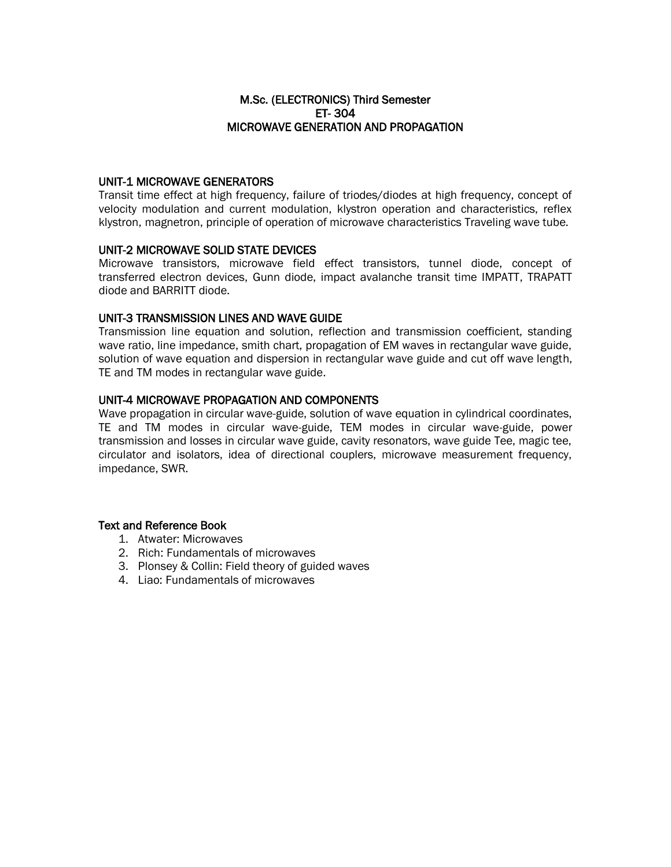## M.Sc. (ELECTRONICS) Third Semester ET- 304 MICROWAVE GENERATION AND PROPAGATION

#### UNIT-1 MICROWAVE GENERATORS

Transit time effect at high frequency, failure of triodes/diodes at high frequency, concept of velocity modulation and current modulation, klystron operation and characteristics, reflex klystron, magnetron, principle of operation of microwave characteristics Traveling wave tube.

## UNIT-2 MICROWAVE SOLID STATE DEVICES

Microwave transistors, microwave field effect transistors, tunnel diode, concept of transferred electron devices, Gunn diode, impact avalanche transit time IMPATT, TRAPATT diode and BARRITT diode.

## UNIT-3 TRANSMISSION LINES AND WAVE GUIDE

Transmission line equation and solution, reflection and transmission coefficient, standing wave ratio, line impedance, smith chart, propagation of EM waves in rectangular wave guide, solution of wave equation and dispersion in rectangular wave guide and cut off wave length, TE and TM modes in rectangular wave guide.

#### UNIT-4 MICROWAVE PROPAGATION AND COMPONENTS

Wave propagation in circular wave-guide, solution of wave equation in cylindrical coordinates, TE and TM modes in circular wave-guide, TEM modes in circular wave-guide, power transmission and losses in circular wave guide, cavity resonators, wave guide Tee, magic tee, circulator and isolators, idea of directional couplers, microwave measurement frequency, impedance, SWR.

- 1. Atwater: Microwaves
- 2. Rich: Fundamentals of microwaves
- 3. Plonsey & Collin: Field theory of guided waves
- 4. Liao: Fundamentals of microwaves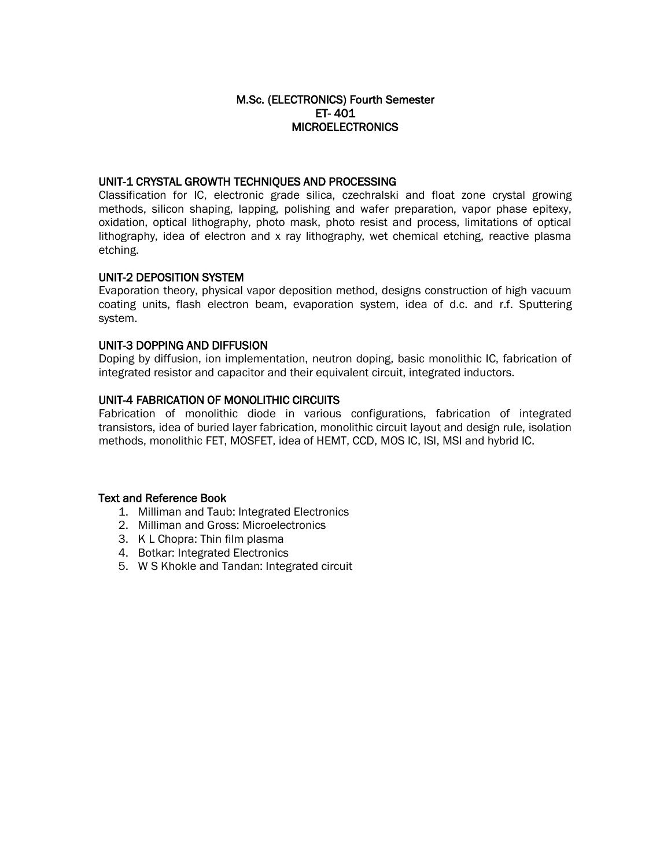## M.Sc. (ELECTRONICS) Fourth Semester ET- 401 MICROELECTRONICS

#### UNIT-1 CRYSTAL GROWTH TECHNIQUES AND PROCESSING

Classification for IC, electronic grade silica, czechralski and float zone crystal growing methods, silicon shaping, lapping, polishing and wafer preparation, vapor phase epitexy, oxidation, optical lithography, photo mask, photo resist and process, limitations of optical lithography, idea of electron and x ray lithography, wet chemical etching, reactive plasma etching.

## UNIT-2 DEPOSITION SYSTEM

Evaporation theory, physical vapor deposition method, designs construction of high vacuum coating units, flash electron beam, evaporation system, idea of d.c. and r.f. Sputtering system.

## UNIT-3 DOPPING AND DIFFUSION

Doping by diffusion, ion implementation, neutron doping, basic monolithic IC, fabrication of integrated resistor and capacitor and their equivalent circuit, integrated inductors.

## UNIT-4 FABRICATION OF MONOLITHIC CIRCUITS

Fabrication of monolithic diode in various configurations, fabrication of integrated transistors, idea of buried layer fabrication, monolithic circuit layout and design rule, isolation methods, monolithic FET, MOSFET, idea of HEMT, CCD, MOS IC, ISI, MSI and hybrid IC.

- 1. Milliman and Taub: Integrated Electronics
- 2. Milliman and Gross: Microelectronics
- 3. K L Chopra: Thin film plasma
- 4. Botkar: Integrated Electronics
- 5. W S Khokle and Tandan: Integrated circuit